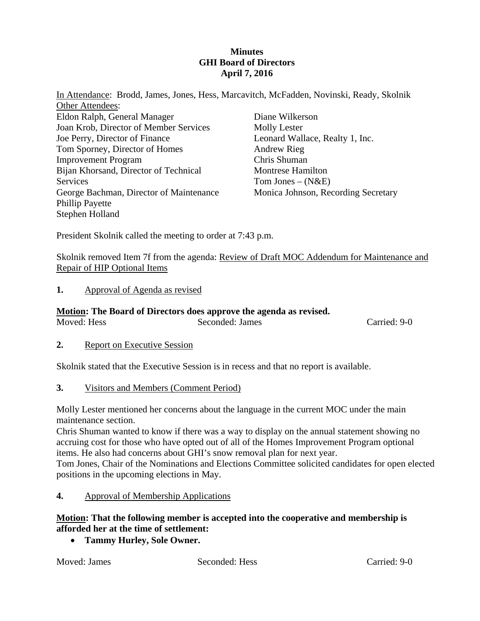## **Minutes GHI Board of Directors April 7, 2016**

In Attendance: Brodd, James, Jones, Hess, Marcavitch, McFadden, Novinski, Ready, Skolnik Other Attendees:

Eldon Ralph, General Manager Joan Krob, Director of Member Services Joe Perry, Director of Finance Tom Sporney, Director of Homes Improvement Program Bijan Khorsand, Director of Technical Services George Bachman, Director of Maintenance Phillip Payette Stephen Holland

Diane Wilkerson Molly Lester Leonard Wallace, Realty 1, Inc. Andrew Rieg Chris Shuman Montrese Hamilton Tom Jones –  $(N&E)$ Monica Johnson, Recording Secretary

President Skolnik called the meeting to order at 7:43 p.m.

Skolnik removed Item 7f from the agenda: Review of Draft MOC Addendum for Maintenance and Repair of HIP Optional Items

# **1.** Approval of Agenda as revised

# **Motion: The Board of Directors does approve the agenda as revised.**

Moved: Hess Seconded: James Carried: 9-0

**2.** Report on Executive Session

Skolnik stated that the Executive Session is in recess and that no report is available.

**3.** Visitors and Members (Comment Period)

Molly Lester mentioned her concerns about the language in the current MOC under the main maintenance section.

Chris Shuman wanted to know if there was a way to display on the annual statement showing no accruing cost for those who have opted out of all of the Homes Improvement Program optional items. He also had concerns about GHI's snow removal plan for next year.

Tom Jones, Chair of the Nominations and Elections Committee solicited candidates for open elected positions in the upcoming elections in May.

**4.** Approval of Membership Applications

**Motion: That the following member is accepted into the cooperative and membership is afforded her at the time of settlement:** 

**Tammy Hurley, Sole Owner.** 

Moved: James Seconded: Hess Carried: 9-0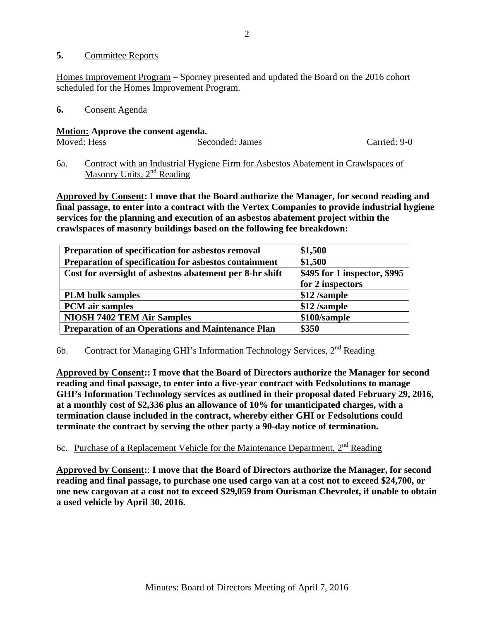### **5.** Committee Reports

Homes Improvement Program – Sporney presented and updated the Board on the 2016 cohort scheduled for the Homes Improvement Program.

### **6.** Consent Agenda

### **Motion: Approve the consent agenda.**

| Moved: Hess | Seconded: James | Carried: 9-0 |
|-------------|-----------------|--------------|
|             |                 |              |

6a. Contract with an Industrial Hygiene Firm for Asbestos Abatement in Crawlspaces of Masonry Units,  $2<sup>nd</sup>$  Reading

**Approved by Consent: I move that the Board authorize the Manager, for second reading and final passage, to enter into a contract with the Vertex Companies to provide industrial hygiene services for the planning and execution of an asbestos abatement project within the crawlspaces of masonry buildings based on the following fee breakdown:** 

| Preparation of specification for asbestos removal        | \$1,500                      |
|----------------------------------------------------------|------------------------------|
| Preparation of specification for asbestos containment    | \$1,500                      |
| Cost for oversight of asbestos abatement per 8-hr shift  | \$495 for 1 inspector, \$995 |
|                                                          | for 2 inspectors             |
| <b>PLM</b> bulk samples                                  | \$12 /sample                 |
| <b>PCM</b> air samples                                   | \$12 /sample                 |
| <b>NIOSH 7402 TEM Air Samples</b>                        | \$100/sample                 |
| <b>Preparation of an Operations and Maintenance Plan</b> | \$350                        |

# 6b. Contract for Managing GHI's Information Technology Services, 2<sup>nd</sup> Reading

**Approved by Consent:: I move that the Board of Directors authorize the Manager for second reading and final passage, to enter into a five-year contract with Fedsolutions to manage GHI's Information Technology services as outlined in their proposal dated February 29, 2016, at a monthly cost of \$2,336 plus an allowance of 10% for unanticipated charges, with a termination clause included in the contract, whereby either GHI or Fedsolutions could terminate the contract by serving the other party a 90-day notice of termination.** 

6c. Purchase of a Replacement Vehicle for the Maintenance Department, 2<sup>nd</sup> Reading

**Approved by Consent:**: **I move that the Board of Directors authorize the Manager, for second reading and final passage, to purchase one used cargo van at a cost not to exceed \$24,700, or one new cargovan at a cost not to exceed \$29,059 from Ourisman Chevrolet, if unable to obtain a used vehicle by April 30, 2016.**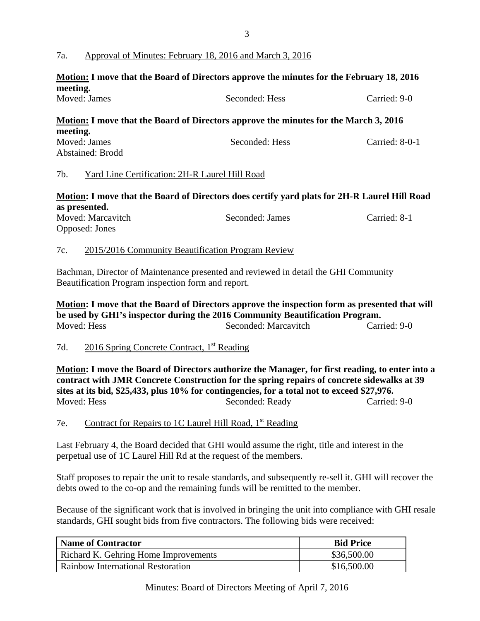# 7a. Approval of Minutes: February 18, 2016 and March 3, 2016

# **Motion: I move that the Board of Directors approve the minutes for the February 18, 2016 meeting.**

| Moved: James | Seconded: Hess                                                                              | Carried: 9-0 |
|--------------|---------------------------------------------------------------------------------------------|--------------|
| meeting.     | <u>Motion:</u> I move that the Board of Directors approve the minutes for the March 3, 2016 |              |

| meeung.          |                |                |
|------------------|----------------|----------------|
| Moved: James     | Seconded: Hess | Carried: 8-0-1 |
| Abstained: Brodd |                |                |

## 7b. Yard Line Certification: 2H-R Laurel Hill Road

# **Motion: I move that the Board of Directors does certify yard plats for 2H-R Laurel Hill Road as presented.**

| Moved: Marcavitch | Seconded: James | Carried: 8-1 |
|-------------------|-----------------|--------------|
| Opposed: Jones    |                 |              |

## 7c. 2015/2016 Community Beautification Program Review

Bachman, Director of Maintenance presented and reviewed in detail the GHI Community Beautification Program inspection form and report.

**Motion: I move that the Board of Directors approve the inspection form as presented that will be used by GHI's inspector during the 2016 Community Beautification Program.**  Moved: Hess Seconded: Marcavitch Carried: 9-0

## 7d. 2016 Spring Concrete Contract, 1<sup>st</sup> Reading

**Motion: I move the Board of Directors authorize the Manager, for first reading, to enter into a contract with JMR Concrete Construction for the spring repairs of concrete sidewalks at 39 sites at its bid, \$25,433, plus 10% for contingencies, for a total not to exceed \$27,976.**  Seconded: Ready Carried: 9-0

7e. Contract for Repairs to 1C Laurel Hill Road,  $1<sup>st</sup>$  Reading

Last February 4, the Board decided that GHI would assume the right, title and interest in the perpetual use of 1C Laurel Hill Rd at the request of the members.

Staff proposes to repair the unit to resale standards, and subsequently re-sell it. GHI will recover the debts owed to the co-op and the remaining funds will be remitted to the member.

Because of the significant work that is involved in bringing the unit into compliance with GHI resale standards, GHI sought bids from five contractors. The following bids were received:

| Name of Contractor                          | <b>Bid Price</b> |
|---------------------------------------------|------------------|
| <b>Richard K. Gehring Home Improvements</b> | \$36,500.00      |
| Rainbow International Restoration           | \$16,500.00      |

Minutes: Board of Directors Meeting of April 7, 2016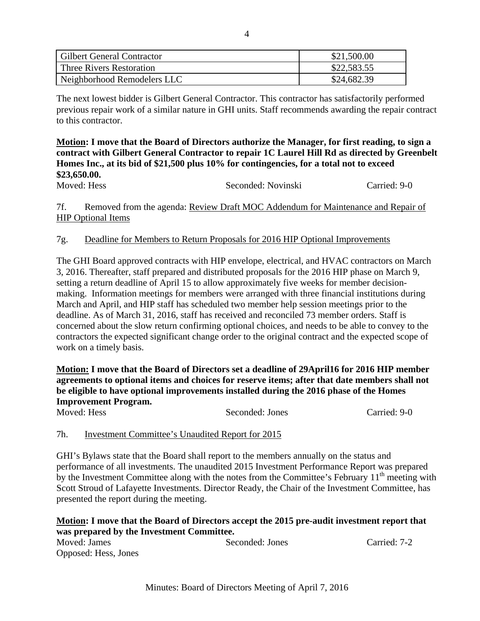| <b>Gilbert General Contractor</b> | \$21,500.00 |
|-----------------------------------|-------------|
| Three Rivers Restoration          | \$22,583.55 |
| Neighborhood Remodelers LLC       | \$24,682.39 |

The next lowest bidder is Gilbert General Contractor. This contractor has satisfactorily performed previous repair work of a similar nature in GHI units. Staff recommends awarding the repair contract to this contractor.

**Motion: I move that the Board of Directors authorize the Manager, for first reading, to sign a contract with Gilbert General Contractor to repair 1C Laurel Hill Rd as directed by Greenbelt Homes Inc., at its bid of \$21,500 plus 10% for contingencies, for a total not to exceed \$23,650.00.**  Moved: Hess Seconded: Novinski Carried: 9-0

7f. Removed from the agenda: Review Draft MOC Addendum for Maintenance and Repair of HIP Optional Items

# 7g. Deadline for Members to Return Proposals for 2016 HIP Optional Improvements

The GHI Board approved contracts with HIP envelope, electrical, and HVAC contractors on March 3, 2016. Thereafter, staff prepared and distributed proposals for the 2016 HIP phase on March 9, setting a return deadline of April 15 to allow approximately five weeks for member decisionmaking. Information meetings for members were arranged with three financial institutions during March and April, and HIP staff has scheduled two member help session meetings prior to the deadline. As of March 31, 2016, staff has received and reconciled 73 member orders. Staff is concerned about the slow return confirming optional choices, and needs to be able to convey to the contractors the expected significant change order to the original contract and the expected scope of work on a timely basis.

**Motion: I move that the Board of Directors set a deadline of 29April16 for 2016 HIP member agreements to optional items and choices for reserve items; after that date members shall not be eligible to have optional improvements installed during the 2016 phase of the Homes Improvement Program.**

Moved: Hess Seconded: Jones Carried: 9-0

# 7h. Investment Committee's Unaudited Report for 2015

GHI's Bylaws state that the Board shall report to the members annually on the status and performance of all investments. The unaudited 2015 Investment Performance Report was prepared by the Investment Committee along with the notes from the Committee's February 11<sup>th</sup> meeting with Scott Stroud of Lafayette Investments. Director Ready, the Chair of the Investment Committee, has presented the report during the meeting.

#### **Motion: I move that the Board of Directors accept the 2015 pre-audit investment report that was prepared by the Investment Committee.**  Moved: James Seconded: Jones Carried: 7-2

Opposed: Hess, Jones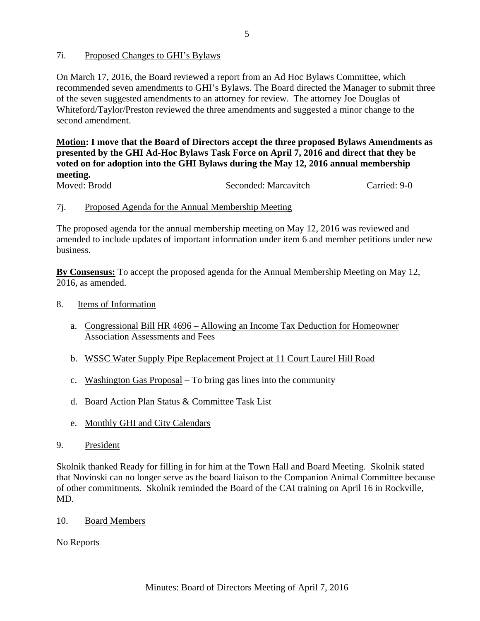# 7i. Proposed Changes to GHI's Bylaws

On March 17, 2016, the Board reviewed a report from an Ad Hoc Bylaws Committee, which recommended seven amendments to GHI's Bylaws. The Board directed the Manager to submit three of the seven suggested amendments to an attorney for review. The attorney Joe Douglas of Whiteford/Taylor/Preston reviewed the three amendments and suggested a minor change to the second amendment.

**Motion: I move that the Board of Directors accept the three proposed Bylaws Amendments as presented by the GHI Ad-Hoc Bylaws Task Force on April 7, 2016 and direct that they be voted on for adoption into the GHI Bylaws during the May 12, 2016 annual membership meeting.** 

Moved: Brodd Seconded: Marcavitch Carried: 9-0

## 7j. Proposed Agenda for the Annual Membership Meeting

The proposed agenda for the annual membership meeting on May 12, 2016 was reviewed and amended to include updates of important information under item 6 and member petitions under new business.

**By Consensus:** To accept the proposed agenda for the Annual Membership Meeting on May 12, 2016, as amended.

### 8. Items of Information

- a. Congressional Bill HR 4696 Allowing an Income Tax Deduction for Homeowner Association Assessments and Fees
- b. WSSC Water Supply Pipe Replacement Project at 11 Court Laurel Hill Road
- c. Washington Gas Proposal To bring gas lines into the community
- d. Board Action Plan Status & Committee Task List
- e. Monthly GHI and City Calendars
- 9. President

Skolnik thanked Ready for filling in for him at the Town Hall and Board Meeting. Skolnik stated that Novinski can no longer serve as the board liaison to the Companion Animal Committee because of other commitments. Skolnik reminded the Board of the CAI training on April 16 in Rockville, MD.

## 10. Board Members

No Reports